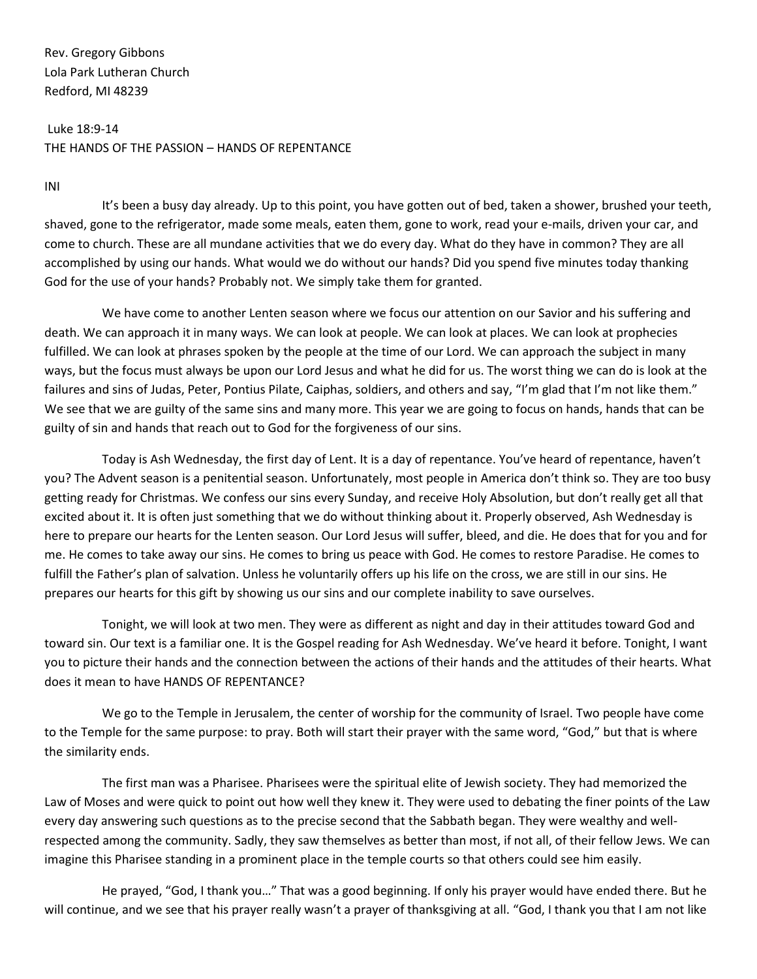Rev. Gregory Gibbons Lola Park Lutheran Church Redford, MI 48239

Luke 18:9-14 THE HANDS OF THE PASSION – HANDS OF REPENTANCE

INI

It's been a busy day already. Up to this point, you have gotten out of bed, taken a shower, brushed your teeth, shaved, gone to the refrigerator, made some meals, eaten them, gone to work, read your e-mails, driven your car, and come to church. These are all mundane activities that we do every day. What do they have in common? They are all accomplished by using our hands. What would we do without our hands? Did you spend five minutes today thanking God for the use of your hands? Probably not. We simply take them for granted.

We have come to another Lenten season where we focus our attention on our Savior and his suffering and death. We can approach it in many ways. We can look at people. We can look at places. We can look at prophecies fulfilled. We can look at phrases spoken by the people at the time of our Lord. We can approach the subject in many ways, but the focus must always be upon our Lord Jesus and what he did for us. The worst thing we can do is look at the failures and sins of Judas, Peter, Pontius Pilate, Caiphas, soldiers, and others and say, "I'm glad that I'm not like them." We see that we are guilty of the same sins and many more. This year we are going to focus on hands, hands that can be guilty of sin and hands that reach out to God for the forgiveness of our sins.

Today is Ash Wednesday, the first day of Lent. It is a day of repentance. You've heard of repentance, haven't you? The Advent season is a penitential season. Unfortunately, most people in America don't think so. They are too busy getting ready for Christmas. We confess our sins every Sunday, and receive Holy Absolution, but don't really get all that excited about it. It is often just something that we do without thinking about it. Properly observed, Ash Wednesday is here to prepare our hearts for the Lenten season. Our Lord Jesus will suffer, bleed, and die. He does that for you and for me. He comes to take away our sins. He comes to bring us peace with God. He comes to restore Paradise. He comes to fulfill the Father's plan of salvation. Unless he voluntarily offers up his life on the cross, we are still in our sins. He prepares our hearts for this gift by showing us our sins and our complete inability to save ourselves.

Tonight, we will look at two men. They were as different as night and day in their attitudes toward God and toward sin. Our text is a familiar one. It is the Gospel reading for Ash Wednesday. We've heard it before. Tonight, I want you to picture their hands and the connection between the actions of their hands and the attitudes of their hearts. What does it mean to have HANDS OF REPENTANCE?

We go to the Temple in Jerusalem, the center of worship for the community of Israel. Two people have come to the Temple for the same purpose: to pray. Both will start their prayer with the same word, "God," but that is where the similarity ends.

The first man was a Pharisee. Pharisees were the spiritual elite of Jewish society. They had memorized the Law of Moses and were quick to point out how well they knew it. They were used to debating the finer points of the Law every day answering such questions as to the precise second that the Sabbath began. They were wealthy and wellrespected among the community. Sadly, they saw themselves as better than most, if not all, of their fellow Jews. We can imagine this Pharisee standing in a prominent place in the temple courts so that others could see him easily.

He prayed, "God, I thank you…" That was a good beginning. If only his prayer would have ended there. But he will continue, and we see that his prayer really wasn't a prayer of thanksgiving at all. "God, I thank you that I am not like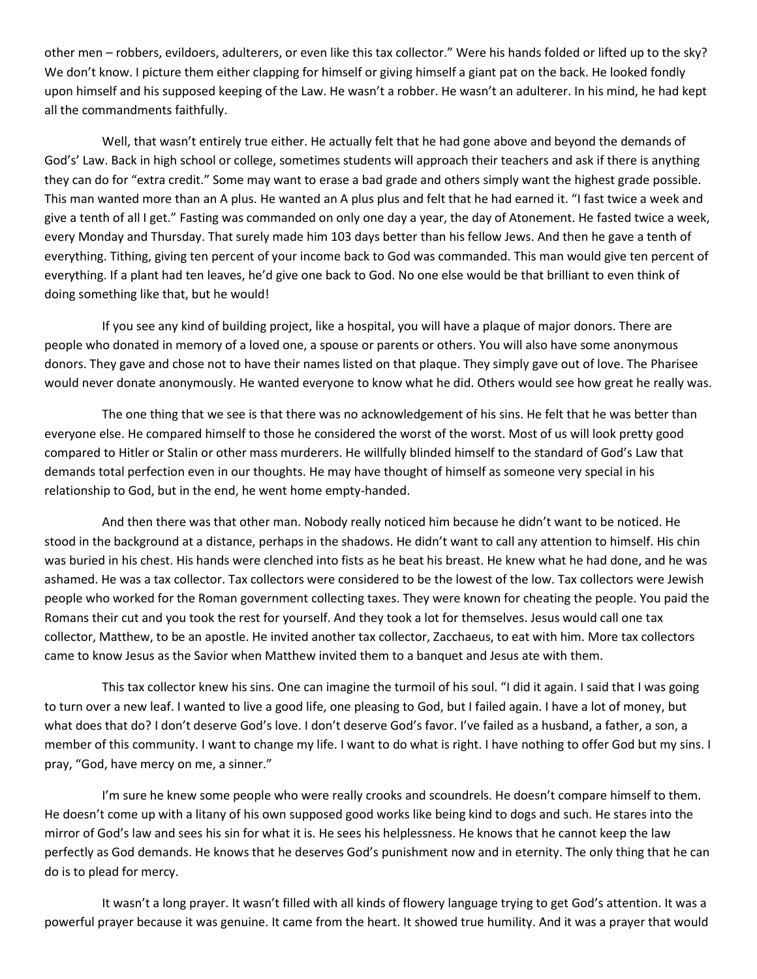other men – robbers, evildoers, adulterers, or even like this tax collector." Were his hands folded or lifted up to the sky? We don't know. I picture them either clapping for himself or giving himself a giant pat on the back. He looked fondly upon himself and his supposed keeping of the Law. He wasn't a robber. He wasn't an adulterer. In his mind, he had kept all the commandments faithfully.

Well, that wasn't entirely true either. He actually felt that he had gone above and beyond the demands of God's' Law. Back in high school or college, sometimes students will approach their teachers and ask if there is anything they can do for "extra credit." Some may want to erase a bad grade and others simply want the highest grade possible. This man wanted more than an A plus. He wanted an A plus plus and felt that he had earned it. "I fast twice a week and give a tenth of all I get." Fasting was commanded on only one day a year, the day of Atonement. He fasted twice a week, every Monday and Thursday. That surely made him 103 days better than his fellow Jews. And then he gave a tenth of everything. Tithing, giving ten percent of your income back to God was commanded. This man would give ten percent of everything. If a plant had ten leaves, he'd give one back to God. No one else would be that brilliant to even think of doing something like that, but he would!

If you see any kind of building project, like a hospital, you will have a plaque of major donors. There are people who donated in memory of a loved one, a spouse or parents or others. You will also have some anonymous donors. They gave and chose not to have their names listed on that plaque. They simply gave out of love. The Pharisee would never donate anonymously. He wanted everyone to know what he did. Others would see how great he really was.

The one thing that we see is that there was no acknowledgement of his sins. He felt that he was better than everyone else. He compared himself to those he considered the worst of the worst. Most of us will look pretty good compared to Hitler or Stalin or other mass murderers. He willfully blinded himself to the standard of God's Law that demands total perfection even in our thoughts. He may have thought of himself as someone very special in his relationship to God, but in the end, he went home empty-handed.

And then there was that other man. Nobody really noticed him because he didn't want to be noticed. He stood in the background at a distance, perhaps in the shadows. He didn't want to call any attention to himself. His chin was buried in his chest. His hands were clenched into fists as he beat his breast. He knew what he had done, and he was ashamed. He was a tax collector. Tax collectors were considered to be the lowest of the low. Tax collectors were Jewish people who worked for the Roman government collecting taxes. They were known for cheating the people. You paid the Romans their cut and you took the rest for yourself. And they took a lot for themselves. Jesus would call one tax collector, Matthew, to be an apostle. He invited another tax collector, Zacchaeus, to eat with him. More tax collectors came to know Jesus as the Savior when Matthew invited them to a banquet and Jesus ate with them.

This tax collector knew his sins. One can imagine the turmoil of his soul. "I did it again. I said that I was going to turn over a new leaf. I wanted to live a good life, one pleasing to God, but I failed again. I have a lot of money, but what does that do? I don't deserve God's love. I don't deserve God's favor. I've failed as a husband, a father, a son, a member of this community. I want to change my life. I want to do what is right. I have nothing to offer God but my sins. I pray, "God, have mercy on me, a sinner."

I'm sure he knew some people who were really crooks and scoundrels. He doesn't compare himself to them. He doesn't come up with a litany of his own supposed good works like being kind to dogs and such. He stares into the mirror of God's law and sees his sin for what it is. He sees his helplessness. He knows that he cannot keep the law perfectly as God demands. He knows that he deserves God's punishment now and in eternity. The only thing that he can do is to plead for mercy.

It wasn't a long prayer. It wasn't filled with all kinds of flowery language trying to get God's attention. It was a powerful prayer because it was genuine. It came from the heart. It showed true humility. And it was a prayer that would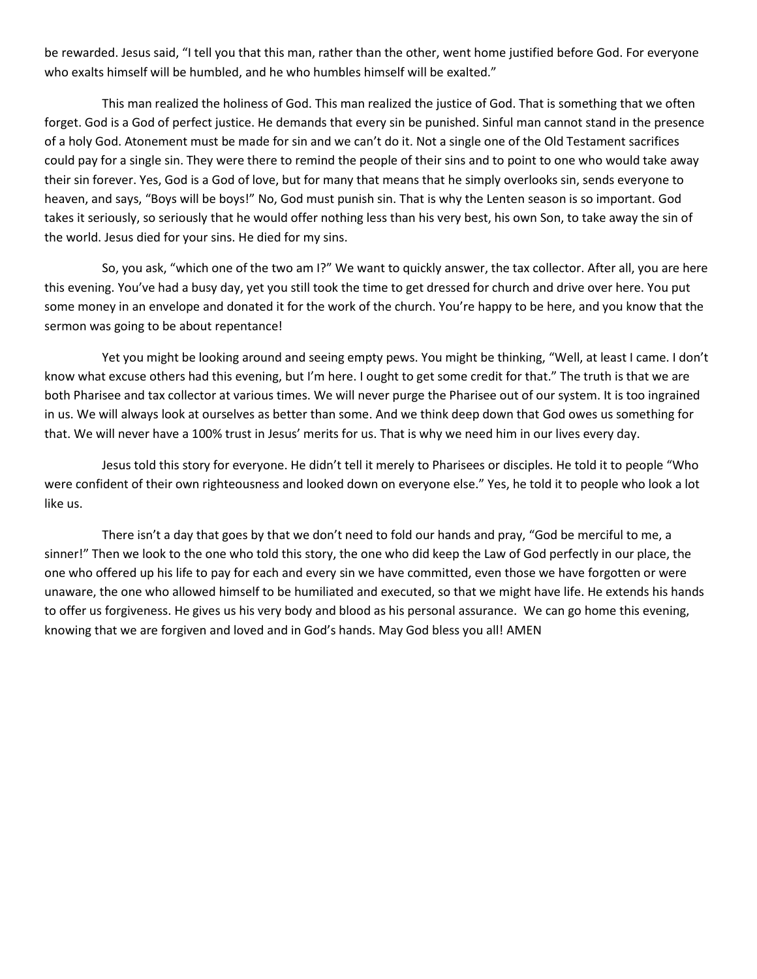be rewarded. Jesus said, "I tell you that this man, rather than the other, went home justified before God. For everyone who exalts himself will be humbled, and he who humbles himself will be exalted."

This man realized the holiness of God. This man realized the justice of God. That is something that we often forget. God is a God of perfect justice. He demands that every sin be punished. Sinful man cannot stand in the presence of a holy God. Atonement must be made for sin and we can't do it. Not a single one of the Old Testament sacrifices could pay for a single sin. They were there to remind the people of their sins and to point to one who would take away their sin forever. Yes, God is a God of love, but for many that means that he simply overlooks sin, sends everyone to heaven, and says, "Boys will be boys!" No, God must punish sin. That is why the Lenten season is so important. God takes it seriously, so seriously that he would offer nothing less than his very best, his own Son, to take away the sin of the world. Jesus died for your sins. He died for my sins.

So, you ask, "which one of the two am I?" We want to quickly answer, the tax collector. After all, you are here this evening. You've had a busy day, yet you still took the time to get dressed for church and drive over here. You put some money in an envelope and donated it for the work of the church. You're happy to be here, and you know that the sermon was going to be about repentance!

Yet you might be looking around and seeing empty pews. You might be thinking, "Well, at least I came. I don't know what excuse others had this evening, but I'm here. I ought to get some credit for that." The truth is that we are both Pharisee and tax collector at various times. We will never purge the Pharisee out of our system. It is too ingrained in us. We will always look at ourselves as better than some. And we think deep down that God owes us something for that. We will never have a 100% trust in Jesus' merits for us. That is why we need him in our lives every day.

Jesus told this story for everyone. He didn't tell it merely to Pharisees or disciples. He told it to people "Who were confident of their own righteousness and looked down on everyone else." Yes, he told it to people who look a lot like us.

There isn't a day that goes by that we don't need to fold our hands and pray, "God be merciful to me, a sinner!" Then we look to the one who told this story, the one who did keep the Law of God perfectly in our place, the one who offered up his life to pay for each and every sin we have committed, even those we have forgotten or were unaware, the one who allowed himself to be humiliated and executed, so that we might have life. He extends his hands to offer us forgiveness. He gives us his very body and blood as his personal assurance. We can go home this evening, knowing that we are forgiven and loved and in God's hands. May God bless you all! AMEN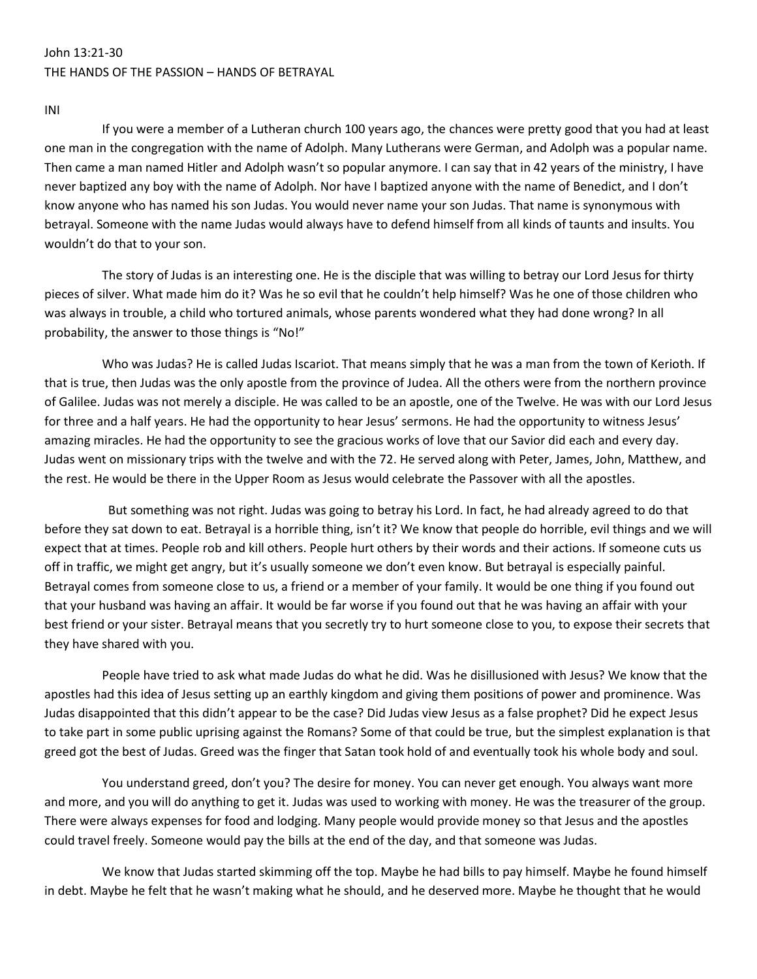### John 13:21-30 THE HANDS OF THE PASSION – HANDS OF BETRAYAL

INI

If you were a member of a Lutheran church 100 years ago, the chances were pretty good that you had at least one man in the congregation with the name of Adolph. Many Lutherans were German, and Adolph was a popular name. Then came a man named Hitler and Adolph wasn't so popular anymore. I can say that in 42 years of the ministry, I have never baptized any boy with the name of Adolph. Nor have I baptized anyone with the name of Benedict, and I don't know anyone who has named his son Judas. You would never name your son Judas. That name is synonymous with betrayal. Someone with the name Judas would always have to defend himself from all kinds of taunts and insults. You wouldn't do that to your son.

The story of Judas is an interesting one. He is the disciple that was willing to betray our Lord Jesus for thirty pieces of silver. What made him do it? Was he so evil that he couldn't help himself? Was he one of those children who was always in trouble, a child who tortured animals, whose parents wondered what they had done wrong? In all probability, the answer to those things is "No!"

Who was Judas? He is called Judas Iscariot. That means simply that he was a man from the town of Kerioth. If that is true, then Judas was the only apostle from the province of Judea. All the others were from the northern province of Galilee. Judas was not merely a disciple. He was called to be an apostle, one of the Twelve. He was with our Lord Jesus for three and a half years. He had the opportunity to hear Jesus' sermons. He had the opportunity to witness Jesus' amazing miracles. He had the opportunity to see the gracious works of love that our Savior did each and every day. Judas went on missionary trips with the twelve and with the 72. He served along with Peter, James, John, Matthew, and the rest. He would be there in the Upper Room as Jesus would celebrate the Passover with all the apostles.

But something was not right. Judas was going to betray his Lord. In fact, he had already agreed to do that before they sat down to eat. Betrayal is a horrible thing, isn't it? We know that people do horrible, evil things and we will expect that at times. People rob and kill others. People hurt others by their words and their actions. If someone cuts us off in traffic, we might get angry, but it's usually someone we don't even know. But betrayal is especially painful. Betrayal comes from someone close to us, a friend or a member of your family. It would be one thing if you found out that your husband was having an affair. It would be far worse if you found out that he was having an affair with your best friend or your sister. Betrayal means that you secretly try to hurt someone close to you, to expose their secrets that they have shared with you.

People have tried to ask what made Judas do what he did. Was he disillusioned with Jesus? We know that the apostles had this idea of Jesus setting up an earthly kingdom and giving them positions of power and prominence. Was Judas disappointed that this didn't appear to be the case? Did Judas view Jesus as a false prophet? Did he expect Jesus to take part in some public uprising against the Romans? Some of that could be true, but the simplest explanation is that greed got the best of Judas. Greed was the finger that Satan took hold of and eventually took his whole body and soul.

You understand greed, don't you? The desire for money. You can never get enough. You always want more and more, and you will do anything to get it. Judas was used to working with money. He was the treasurer of the group. There were always expenses for food and lodging. Many people would provide money so that Jesus and the apostles could travel freely. Someone would pay the bills at the end of the day, and that someone was Judas.

We know that Judas started skimming off the top. Maybe he had bills to pay himself. Maybe he found himself in debt. Maybe he felt that he wasn't making what he should, and he deserved more. Maybe he thought that he would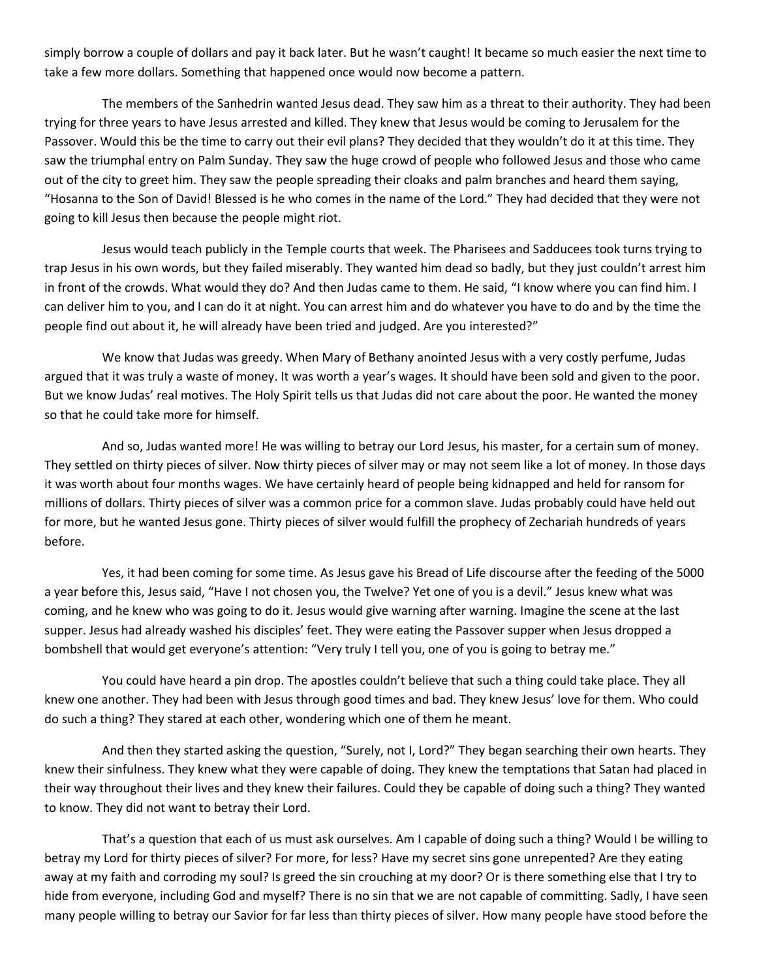simply borrow a couple of dollars and pay it back later. But he wasn't caught! It became so much easier the next time to take a few more dollars. Something that happened once would now become a pattern.

The members of the Sanhedrin wanted Jesus dead. They saw him as a threat to their authority. They had been trying for three years to have Jesus arrested and killed. They knew that Jesus would be coming to Jerusalem for the Passover. Would this be the time to carry out their evil plans? They decided that they wouldn't do it at this time. They saw the triumphal entry on Palm Sunday. They saw the huge crowd of people who followed Jesus and those who came out of the city to greet him. They saw the people spreading their cloaks and palm branches and heard them saying, "Hosanna to the Son of David! Blessed is he who comes in the name of the Lord." They had decided that they were not going to kill Jesus then because the people might riot.

Jesus would teach publicly in the Temple courts that week. The Pharisees and Sadducees took turns trying to trap Jesus in his own words, but they failed miserably. They wanted him dead so badly, but they just couldn't arrest him in front of the crowds. What would they do? And then Judas came to them. He said, "I know where you can find him. I can deliver him to you, and I can do it at night. You can arrest him and do whatever you have to do and by the time the people find out about it, he will already have been tried and judged. Are you interested?"

We know that Judas was greedy. When Mary of Bethany anointed Jesus with a very costly perfume, Judas argued that it was truly a waste of money. It was worth a year's wages. It should have been sold and given to the poor. But we know Judas' real motives. The Holy Spirit tells us that Judas did not care about the poor. He wanted the money so that he could take more for himself.

And so, Judas wanted more! He was willing to betray our Lord Jesus, his master, for a certain sum of money. They settled on thirty pieces of silver. Now thirty pieces of silver may or may not seem like a lot of money. In those days it was worth about four months wages. We have certainly heard of people being kidnapped and held for ransom for millions of dollars. Thirty pieces of silver was a common price for a common slave. Judas probably could have held out for more, but he wanted Jesus gone. Thirty pieces of silver would fulfill the prophecy of Zechariah hundreds of years before.

Yes, it had been coming for some time. As Jesus gave his Bread of Life discourse after the feeding of the 5000 a year before this, Jesus said, "Have I not chosen you, the Twelve? Yet one of you is a devil." Jesus knew what was coming, and he knew who was going to do it. Jesus would give warning after warning. Imagine the scene at the last supper. Jesus had already washed his disciples' feet. They were eating the Passover supper when Jesus dropped a bombshell that would get everyone's attention: "Very truly I tell you, one of you is going to betray me."

You could have heard a pin drop. The apostles couldn't believe that such a thing could take place. They all knew one another. They had been with Jesus through good times and bad. They knew Jesus' love for them. Who could do such a thing? They stared at each other, wondering which one of them he meant.

And then they started asking the question, "Surely, not I, Lord?" They began searching their own hearts. They knew their sinfulness. They knew what they were capable of doing. They knew the temptations that Satan had placed in their way throughout their lives and they knew their failures. Could they be capable of doing such a thing? They wanted to know. They did not want to betray their Lord.

That's a question that each of us must ask ourselves. Am I capable of doing such a thing? Would I be willing to betray my Lord for thirty pieces of silver? For more, for less? Have my secret sins gone unrepented? Are they eating away at my faith and corroding my soul? Is greed the sin crouching at my door? Or is there something else that I try to hide from everyone, including God and myself? There is no sin that we are not capable of committing. Sadly, I have seen many people willing to betray our Savior for far less than thirty pieces of silver. How many people have stood before the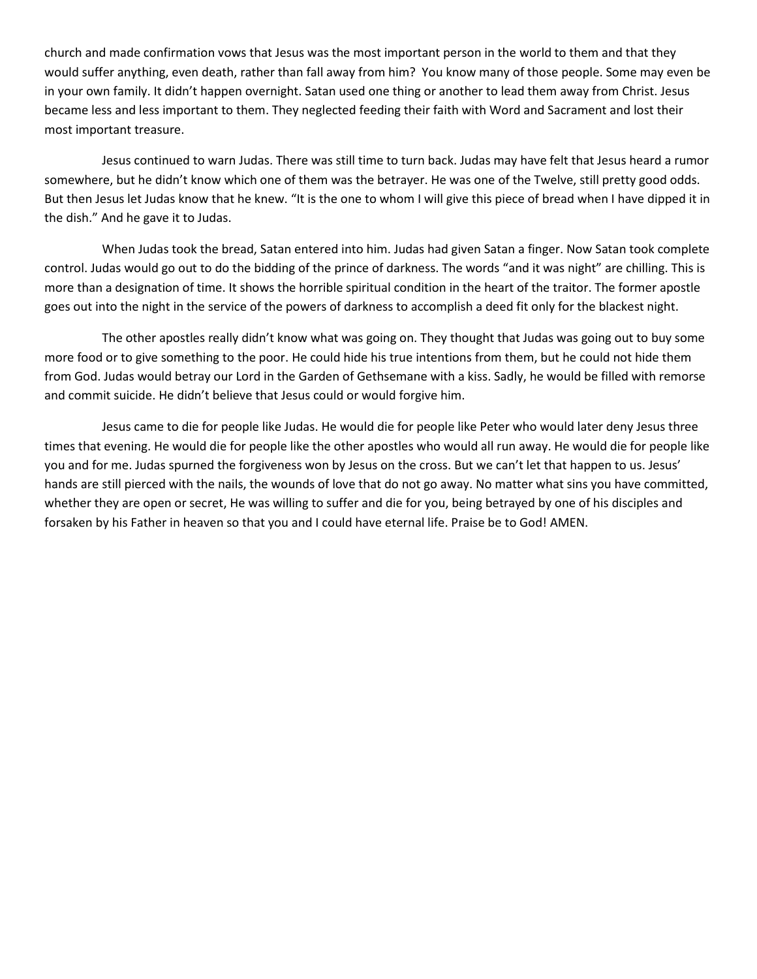church and made confirmation vows that Jesus was the most important person in the world to them and that they would suffer anything, even death, rather than fall away from him? You know many of those people. Some may even be in your own family. It didn't happen overnight. Satan used one thing or another to lead them away from Christ. Jesus became less and less important to them. They neglected feeding their faith with Word and Sacrament and lost their most important treasure.

Jesus continued to warn Judas. There was still time to turn back. Judas may have felt that Jesus heard a rumor somewhere, but he didn't know which one of them was the betrayer. He was one of the Twelve, still pretty good odds. But then Jesus let Judas know that he knew. "It is the one to whom I will give this piece of bread when I have dipped it in the dish." And he gave it to Judas.

When Judas took the bread, Satan entered into him. Judas had given Satan a finger. Now Satan took complete control. Judas would go out to do the bidding of the prince of darkness. The words "and it was night" are chilling. This is more than a designation of time. It shows the horrible spiritual condition in the heart of the traitor. The former apostle goes out into the night in the service of the powers of darkness to accomplish a deed fit only for the blackest night.

The other apostles really didn't know what was going on. They thought that Judas was going out to buy some more food or to give something to the poor. He could hide his true intentions from them, but he could not hide them from God. Judas would betray our Lord in the Garden of Gethsemane with a kiss. Sadly, he would be filled with remorse and commit suicide. He didn't believe that Jesus could or would forgive him.

Jesus came to die for people like Judas. He would die for people like Peter who would later deny Jesus three times that evening. He would die for people like the other apostles who would all run away. He would die for people like you and for me. Judas spurned the forgiveness won by Jesus on the cross. But we can't let that happen to us. Jesus' hands are still pierced with the nails, the wounds of love that do not go away. No matter what sins you have committed, whether they are open or secret, He was willing to suffer and die for you, being betrayed by one of his disciples and forsaken by his Father in heaven so that you and I could have eternal life. Praise be to God! AMEN.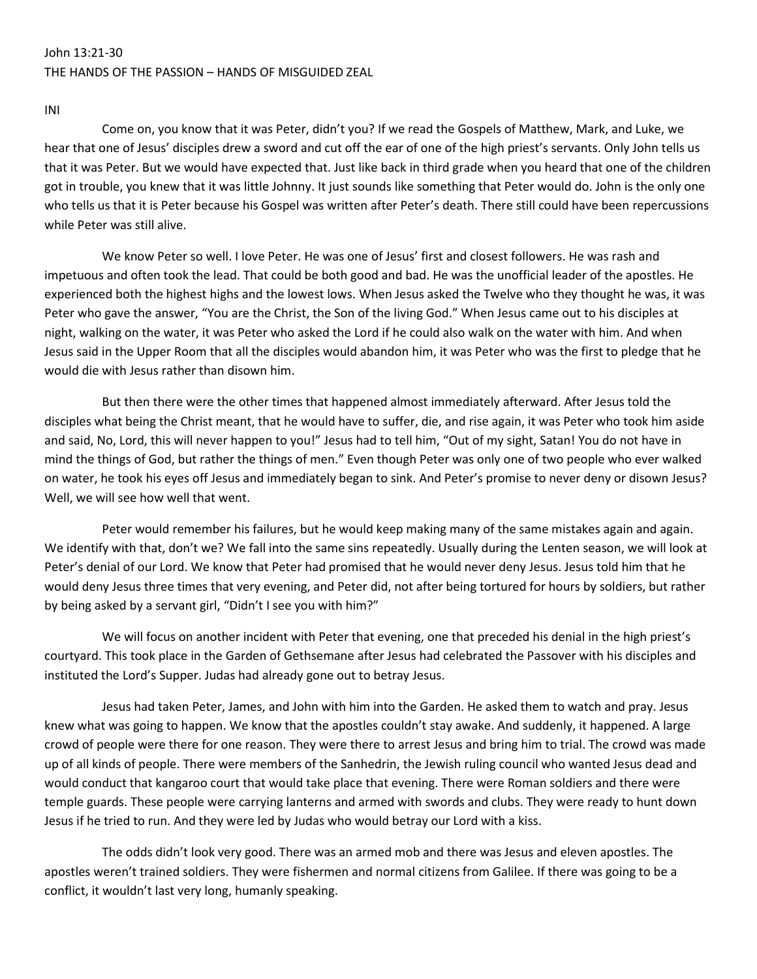## John 13:21-30 THE HANDS OF THE PASSION – HANDS OF MISGUIDED ZEAL

INI

Come on, you know that it was Peter, didn't you? If we read the Gospels of Matthew, Mark, and Luke, we hear that one of Jesus' disciples drew a sword and cut off the ear of one of the high priest's servants. Only John tells us that it was Peter. But we would have expected that. Just like back in third grade when you heard that one of the children got in trouble, you knew that it was little Johnny. It just sounds like something that Peter would do. John is the only one who tells us that it is Peter because his Gospel was written after Peter's death. There still could have been repercussions while Peter was still alive.

We know Peter so well. I love Peter. He was one of Jesus' first and closest followers. He was rash and impetuous and often took the lead. That could be both good and bad. He was the unofficial leader of the apostles. He experienced both the highest highs and the lowest lows. When Jesus asked the Twelve who they thought he was, it was Peter who gave the answer, "You are the Christ, the Son of the living God." When Jesus came out to his disciples at night, walking on the water, it was Peter who asked the Lord if he could also walk on the water with him. And when Jesus said in the Upper Room that all the disciples would abandon him, it was Peter who was the first to pledge that he would die with Jesus rather than disown him.

But then there were the other times that happened almost immediately afterward. After Jesus told the disciples what being the Christ meant, that he would have to suffer, die, and rise again, it was Peter who took him aside and said, No, Lord, this will never happen to you!" Jesus had to tell him, "Out of my sight, Satan! You do not have in mind the things of God, but rather the things of men." Even though Peter was only one of two people who ever walked on water, he took his eyes off Jesus and immediately began to sink. And Peter's promise to never deny or disown Jesus? Well, we will see how well that went.

Peter would remember his failures, but he would keep making many of the same mistakes again and again. We identify with that, don't we? We fall into the same sins repeatedly. Usually during the Lenten season, we will look at Peter's denial of our Lord. We know that Peter had promised that he would never deny Jesus. Jesus told him that he would deny Jesus three times that very evening, and Peter did, not after being tortured for hours by soldiers, but rather by being asked by a servant girl, "Didn't I see you with him?"

We will focus on another incident with Peter that evening, one that preceded his denial in the high priest's courtyard. This took place in the Garden of Gethsemane after Jesus had celebrated the Passover with his disciples and instituted the Lord's Supper. Judas had already gone out to betray Jesus.

Jesus had taken Peter, James, and John with him into the Garden. He asked them to watch and pray. Jesus knew what was going to happen. We know that the apostles couldn't stay awake. And suddenly, it happened. A large crowd of people were there for one reason. They were there to arrest Jesus and bring him to trial. The crowd was made up of all kinds of people. There were members of the Sanhedrin, the Jewish ruling council who wanted Jesus dead and would conduct that kangaroo court that would take place that evening. There were Roman soldiers and there were temple guards. These people were carrying lanterns and armed with swords and clubs. They were ready to hunt down Jesus if he tried to run. And they were led by Judas who would betray our Lord with a kiss.

The odds didn't look very good. There was an armed mob and there was Jesus and eleven apostles. The apostles weren't trained soldiers. They were fishermen and normal citizens from Galilee. If there was going to be a conflict, it wouldn't last very long, humanly speaking.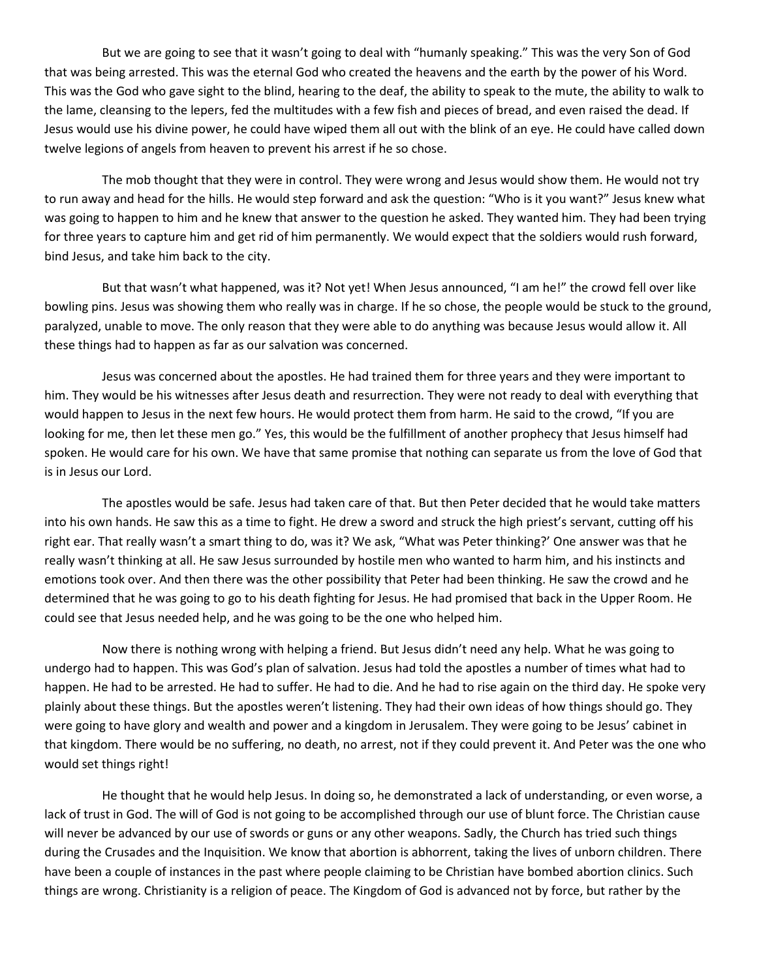But we are going to see that it wasn't going to deal with "humanly speaking." This was the very Son of God that was being arrested. This was the eternal God who created the heavens and the earth by the power of his Word. This was the God who gave sight to the blind, hearing to the deaf, the ability to speak to the mute, the ability to walk to the lame, cleansing to the lepers, fed the multitudes with a few fish and pieces of bread, and even raised the dead. If Jesus would use his divine power, he could have wiped them all out with the blink of an eye. He could have called down twelve legions of angels from heaven to prevent his arrest if he so chose.

The mob thought that they were in control. They were wrong and Jesus would show them. He would not try to run away and head for the hills. He would step forward and ask the question: "Who is it you want?" Jesus knew what was going to happen to him and he knew that answer to the question he asked. They wanted him. They had been trying for three years to capture him and get rid of him permanently. We would expect that the soldiers would rush forward, bind Jesus, and take him back to the city.

But that wasn't what happened, was it? Not yet! When Jesus announced, "I am he!" the crowd fell over like bowling pins. Jesus was showing them who really was in charge. If he so chose, the people would be stuck to the ground, paralyzed, unable to move. The only reason that they were able to do anything was because Jesus would allow it. All these things had to happen as far as our salvation was concerned.

Jesus was concerned about the apostles. He had trained them for three years and they were important to him. They would be his witnesses after Jesus death and resurrection. They were not ready to deal with everything that would happen to Jesus in the next few hours. He would protect them from harm. He said to the crowd, "If you are looking for me, then let these men go." Yes, this would be the fulfillment of another prophecy that Jesus himself had spoken. He would care for his own. We have that same promise that nothing can separate us from the love of God that is in Jesus our Lord.

The apostles would be safe. Jesus had taken care of that. But then Peter decided that he would take matters into his own hands. He saw this as a time to fight. He drew a sword and struck the high priest's servant, cutting off his right ear. That really wasn't a smart thing to do, was it? We ask, "What was Peter thinking?' One answer was that he really wasn't thinking at all. He saw Jesus surrounded by hostile men who wanted to harm him, and his instincts and emotions took over. And then there was the other possibility that Peter had been thinking. He saw the crowd and he determined that he was going to go to his death fighting for Jesus. He had promised that back in the Upper Room. He could see that Jesus needed help, and he was going to be the one who helped him.

Now there is nothing wrong with helping a friend. But Jesus didn't need any help. What he was going to undergo had to happen. This was God's plan of salvation. Jesus had told the apostles a number of times what had to happen. He had to be arrested. He had to suffer. He had to die. And he had to rise again on the third day. He spoke very plainly about these things. But the apostles weren't listening. They had their own ideas of how things should go. They were going to have glory and wealth and power and a kingdom in Jerusalem. They were going to be Jesus' cabinet in that kingdom. There would be no suffering, no death, no arrest, not if they could prevent it. And Peter was the one who would set things right!

He thought that he would help Jesus. In doing so, he demonstrated a lack of understanding, or even worse, a lack of trust in God. The will of God is not going to be accomplished through our use of blunt force. The Christian cause will never be advanced by our use of swords or guns or any other weapons. Sadly, the Church has tried such things during the Crusades and the Inquisition. We know that abortion is abhorrent, taking the lives of unborn children. There have been a couple of instances in the past where people claiming to be Christian have bombed abortion clinics. Such things are wrong. Christianity is a religion of peace. The Kingdom of God is advanced not by force, but rather by the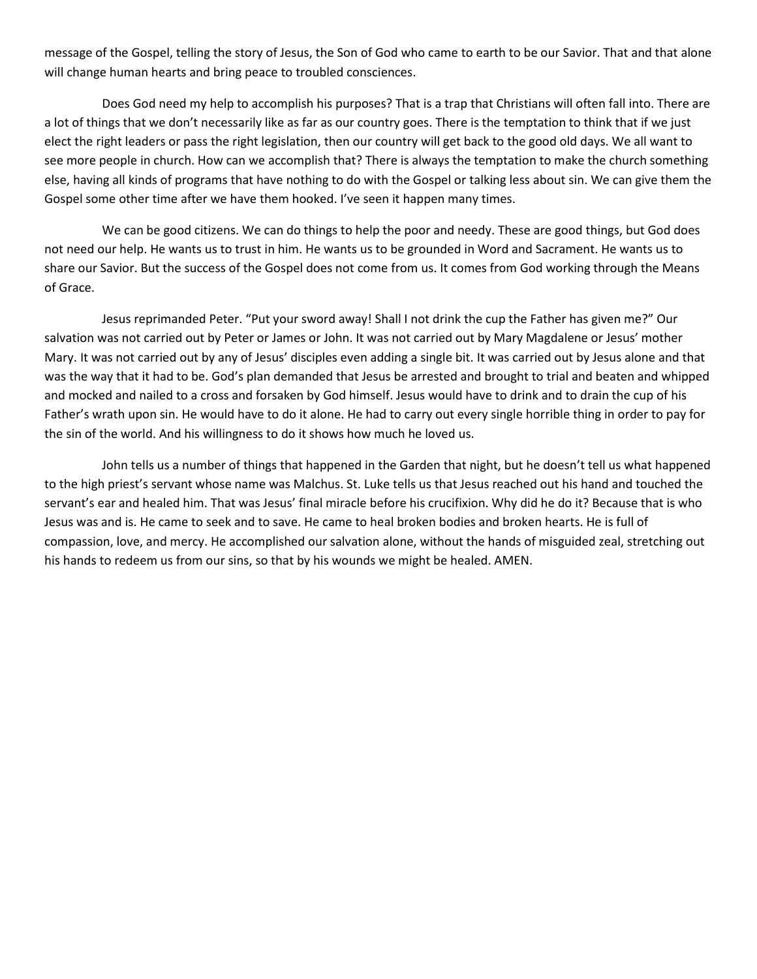message of the Gospel, telling the story of Jesus, the Son of God who came to earth to be our Savior. That and that alone will change human hearts and bring peace to troubled consciences.

Does God need my help to accomplish his purposes? That is a trap that Christians will often fall into. There are a lot of things that we don't necessarily like as far as our country goes. There is the temptation to think that if we just elect the right leaders or pass the right legislation, then our country will get back to the good old days. We all want to see more people in church. How can we accomplish that? There is always the temptation to make the church something else, having all kinds of programs that have nothing to do with the Gospel or talking less about sin. We can give them the Gospel some other time after we have them hooked. I've seen it happen many times.

We can be good citizens. We can do things to help the poor and needy. These are good things, but God does not need our help. He wants us to trust in him. He wants us to be grounded in Word and Sacrament. He wants us to share our Savior. But the success of the Gospel does not come from us. It comes from God working through the Means of Grace.

Jesus reprimanded Peter. "Put your sword away! Shall I not drink the cup the Father has given me?" Our salvation was not carried out by Peter or James or John. It was not carried out by Mary Magdalene or Jesus' mother Mary. It was not carried out by any of Jesus' disciples even adding a single bit. It was carried out by Jesus alone and that was the way that it had to be. God's plan demanded that Jesus be arrested and brought to trial and beaten and whipped and mocked and nailed to a cross and forsaken by God himself. Jesus would have to drink and to drain the cup of his Father's wrath upon sin. He would have to do it alone. He had to carry out every single horrible thing in order to pay for the sin of the world. And his willingness to do it shows how much he loved us.

John tells us a number of things that happened in the Garden that night, but he doesn't tell us what happened to the high priest's servant whose name was Malchus. St. Luke tells us that Jesus reached out his hand and touched the servant's ear and healed him. That was Jesus' final miracle before his crucifixion. Why did he do it? Because that is who Jesus was and is. He came to seek and to save. He came to heal broken bodies and broken hearts. He is full of compassion, love, and mercy. He accomplished our salvation alone, without the hands of misguided zeal, stretching out his hands to redeem us from our sins, so that by his wounds we might be healed. AMEN.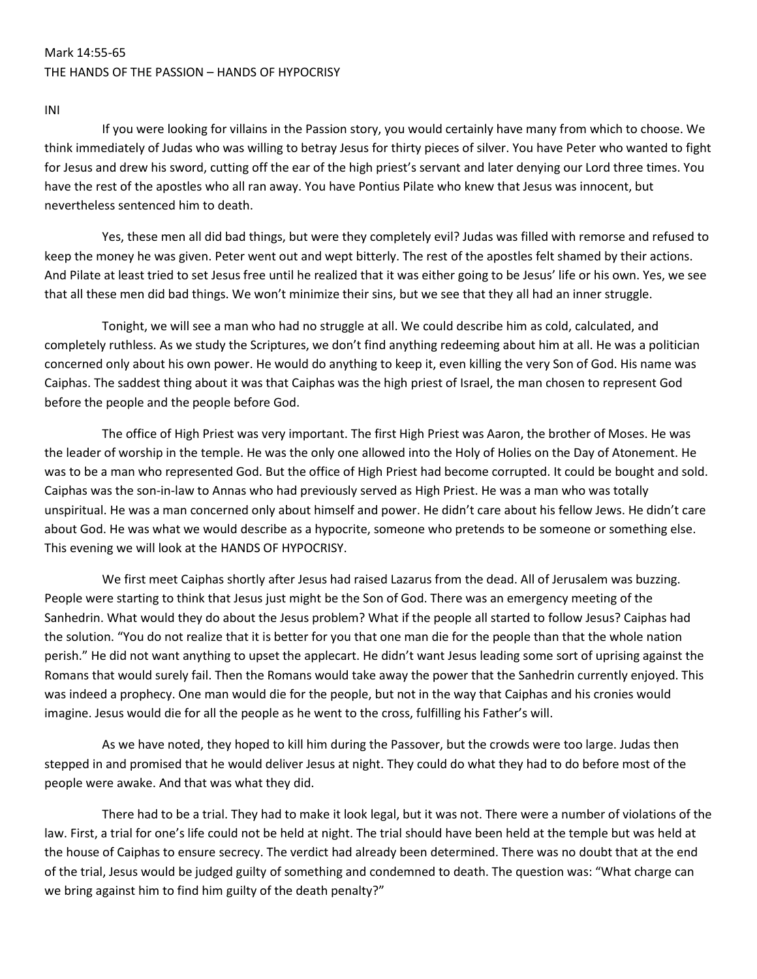### Mark 14:55-65 THE HANDS OF THE PASSION – HANDS OF HYPOCRISY

INI

If you were looking for villains in the Passion story, you would certainly have many from which to choose. We think immediately of Judas who was willing to betray Jesus for thirty pieces of silver. You have Peter who wanted to fight for Jesus and drew his sword, cutting off the ear of the high priest's servant and later denying our Lord three times. You have the rest of the apostles who all ran away. You have Pontius Pilate who knew that Jesus was innocent, but nevertheless sentenced him to death.

Yes, these men all did bad things, but were they completely evil? Judas was filled with remorse and refused to keep the money he was given. Peter went out and wept bitterly. The rest of the apostles felt shamed by their actions. And Pilate at least tried to set Jesus free until he realized that it was either going to be Jesus' life or his own. Yes, we see that all these men did bad things. We won't minimize their sins, but we see that they all had an inner struggle.

Tonight, we will see a man who had no struggle at all. We could describe him as cold, calculated, and completely ruthless. As we study the Scriptures, we don't find anything redeeming about him at all. He was a politician concerned only about his own power. He would do anything to keep it, even killing the very Son of God. His name was Caiphas. The saddest thing about it was that Caiphas was the high priest of Israel, the man chosen to represent God before the people and the people before God.

The office of High Priest was very important. The first High Priest was Aaron, the brother of Moses. He was the leader of worship in the temple. He was the only one allowed into the Holy of Holies on the Day of Atonement. He was to be a man who represented God. But the office of High Priest had become corrupted. It could be bought and sold. Caiphas was the son-in-law to Annas who had previously served as High Priest. He was a man who was totally unspiritual. He was a man concerned only about himself and power. He didn't care about his fellow Jews. He didn't care about God. He was what we would describe as a hypocrite, someone who pretends to be someone or something else. This evening we will look at the HANDS OF HYPOCRISY.

We first meet Caiphas shortly after Jesus had raised Lazarus from the dead. All of Jerusalem was buzzing. People were starting to think that Jesus just might be the Son of God. There was an emergency meeting of the Sanhedrin. What would they do about the Jesus problem? What if the people all started to follow Jesus? Caiphas had the solution. "You do not realize that it is better for you that one man die for the people than that the whole nation perish." He did not want anything to upset the applecart. He didn't want Jesus leading some sort of uprising against the Romans that would surely fail. Then the Romans would take away the power that the Sanhedrin currently enjoyed. This was indeed a prophecy. One man would die for the people, but not in the way that Caiphas and his cronies would imagine. Jesus would die for all the people as he went to the cross, fulfilling his Father's will.

As we have noted, they hoped to kill him during the Passover, but the crowds were too large. Judas then stepped in and promised that he would deliver Jesus at night. They could do what they had to do before most of the people were awake. And that was what they did.

There had to be a trial. They had to make it look legal, but it was not. There were a number of violations of the law. First, a trial for one's life could not be held at night. The trial should have been held at the temple but was held at the house of Caiphas to ensure secrecy. The verdict had already been determined. There was no doubt that at the end of the trial, Jesus would be judged guilty of something and condemned to death. The question was: "What charge can we bring against him to find him guilty of the death penalty?"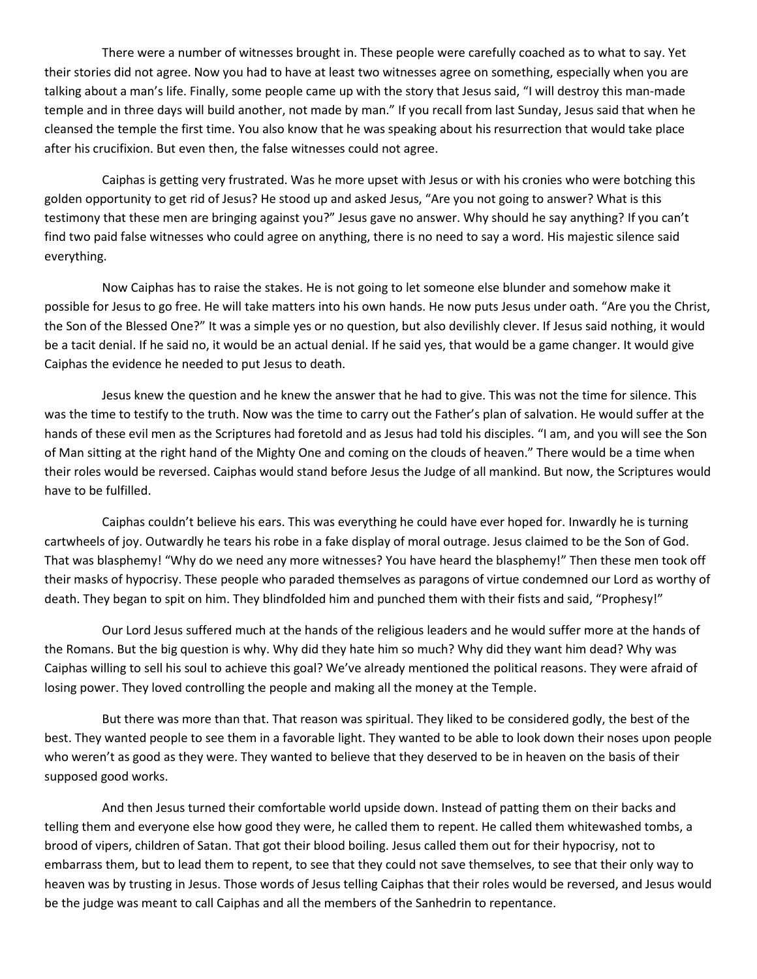There were a number of witnesses brought in. These people were carefully coached as to what to say. Yet their stories did not agree. Now you had to have at least two witnesses agree on something, especially when you are talking about a man's life. Finally, some people came up with the story that Jesus said, "I will destroy this man-made temple and in three days will build another, not made by man." If you recall from last Sunday, Jesus said that when he cleansed the temple the first time. You also know that he was speaking about his resurrection that would take place after his crucifixion. But even then, the false witnesses could not agree.

Caiphas is getting very frustrated. Was he more upset with Jesus or with his cronies who were botching this golden opportunity to get rid of Jesus? He stood up and asked Jesus, "Are you not going to answer? What is this testimony that these men are bringing against you?" Jesus gave no answer. Why should he say anything? If you can't find two paid false witnesses who could agree on anything, there is no need to say a word. His majestic silence said everything.

Now Caiphas has to raise the stakes. He is not going to let someone else blunder and somehow make it possible for Jesus to go free. He will take matters into his own hands. He now puts Jesus under oath. "Are you the Christ, the Son of the Blessed One?" It was a simple yes or no question, but also devilishly clever. If Jesus said nothing, it would be a tacit denial. If he said no, it would be an actual denial. If he said yes, that would be a game changer. It would give Caiphas the evidence he needed to put Jesus to death.

Jesus knew the question and he knew the answer that he had to give. This was not the time for silence. This was the time to testify to the truth. Now was the time to carry out the Father's plan of salvation. He would suffer at the hands of these evil men as the Scriptures had foretold and as Jesus had told his disciples. "I am, and you will see the Son of Man sitting at the right hand of the Mighty One and coming on the clouds of heaven." There would be a time when their roles would be reversed. Caiphas would stand before Jesus the Judge of all mankind. But now, the Scriptures would have to be fulfilled.

Caiphas couldn't believe his ears. This was everything he could have ever hoped for. Inwardly he is turning cartwheels of joy. Outwardly he tears his robe in a fake display of moral outrage. Jesus claimed to be the Son of God. That was blasphemy! "Why do we need any more witnesses? You have heard the blasphemy!" Then these men took off their masks of hypocrisy. These people who paraded themselves as paragons of virtue condemned our Lord as worthy of death. They began to spit on him. They blindfolded him and punched them with their fists and said, "Prophesy!"

Our Lord Jesus suffered much at the hands of the religious leaders and he would suffer more at the hands of the Romans. But the big question is why. Why did they hate him so much? Why did they want him dead? Why was Caiphas willing to sell his soul to achieve this goal? We've already mentioned the political reasons. They were afraid of losing power. They loved controlling the people and making all the money at the Temple.

But there was more than that. That reason was spiritual. They liked to be considered godly, the best of the best. They wanted people to see them in a favorable light. They wanted to be able to look down their noses upon people who weren't as good as they were. They wanted to believe that they deserved to be in heaven on the basis of their supposed good works.

And then Jesus turned their comfortable world upside down. Instead of patting them on their backs and telling them and everyone else how good they were, he called them to repent. He called them whitewashed tombs, a brood of vipers, children of Satan. That got their blood boiling. Jesus called them out for their hypocrisy, not to embarrass them, but to lead them to repent, to see that they could not save themselves, to see that their only way to heaven was by trusting in Jesus. Those words of Jesus telling Caiphas that their roles would be reversed, and Jesus would be the judge was meant to call Caiphas and all the members of the Sanhedrin to repentance.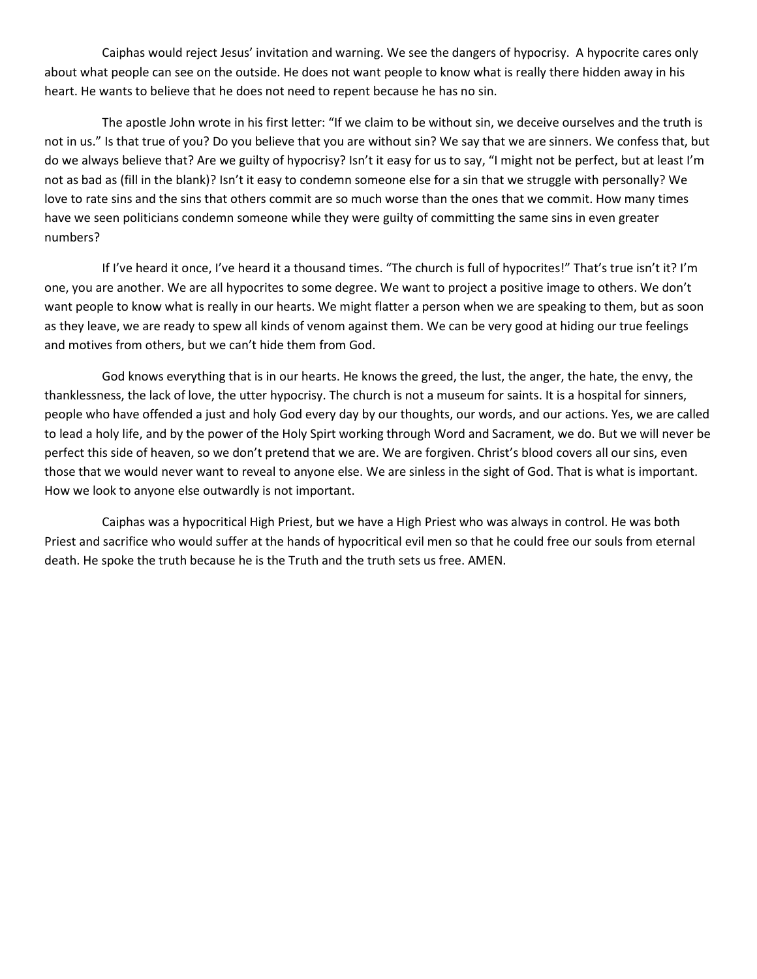Caiphas would reject Jesus' invitation and warning. We see the dangers of hypocrisy. A hypocrite cares only about what people can see on the outside. He does not want people to know what is really there hidden away in his heart. He wants to believe that he does not need to repent because he has no sin.

The apostle John wrote in his first letter: "If we claim to be without sin, we deceive ourselves and the truth is not in us." Is that true of you? Do you believe that you are without sin? We say that we are sinners. We confess that, but do we always believe that? Are we guilty of hypocrisy? Isn't it easy for us to say, "I might not be perfect, but at least I'm not as bad as (fill in the blank)? Isn't it easy to condemn someone else for a sin that we struggle with personally? We love to rate sins and the sins that others commit are so much worse than the ones that we commit. How many times have we seen politicians condemn someone while they were guilty of committing the same sins in even greater numbers?

If I've heard it once, I've heard it a thousand times. "The church is full of hypocrites!" That's true isn't it? I'm one, you are another. We are all hypocrites to some degree. We want to project a positive image to others. We don't want people to know what is really in our hearts. We might flatter a person when we are speaking to them, but as soon as they leave, we are ready to spew all kinds of venom against them. We can be very good at hiding our true feelings and motives from others, but we can't hide them from God.

God knows everything that is in our hearts. He knows the greed, the lust, the anger, the hate, the envy, the thanklessness, the lack of love, the utter hypocrisy. The church is not a museum for saints. It is a hospital for sinners, people who have offended a just and holy God every day by our thoughts, our words, and our actions. Yes, we are called to lead a holy life, and by the power of the Holy Spirt working through Word and Sacrament, we do. But we will never be perfect this side of heaven, so we don't pretend that we are. We are forgiven. Christ's blood covers all our sins, even those that we would never want to reveal to anyone else. We are sinless in the sight of God. That is what is important. How we look to anyone else outwardly is not important.

Caiphas was a hypocritical High Priest, but we have a High Priest who was always in control. He was both Priest and sacrifice who would suffer at the hands of hypocritical evil men so that he could free our souls from eternal death. He spoke the truth because he is the Truth and the truth sets us free. AMEN.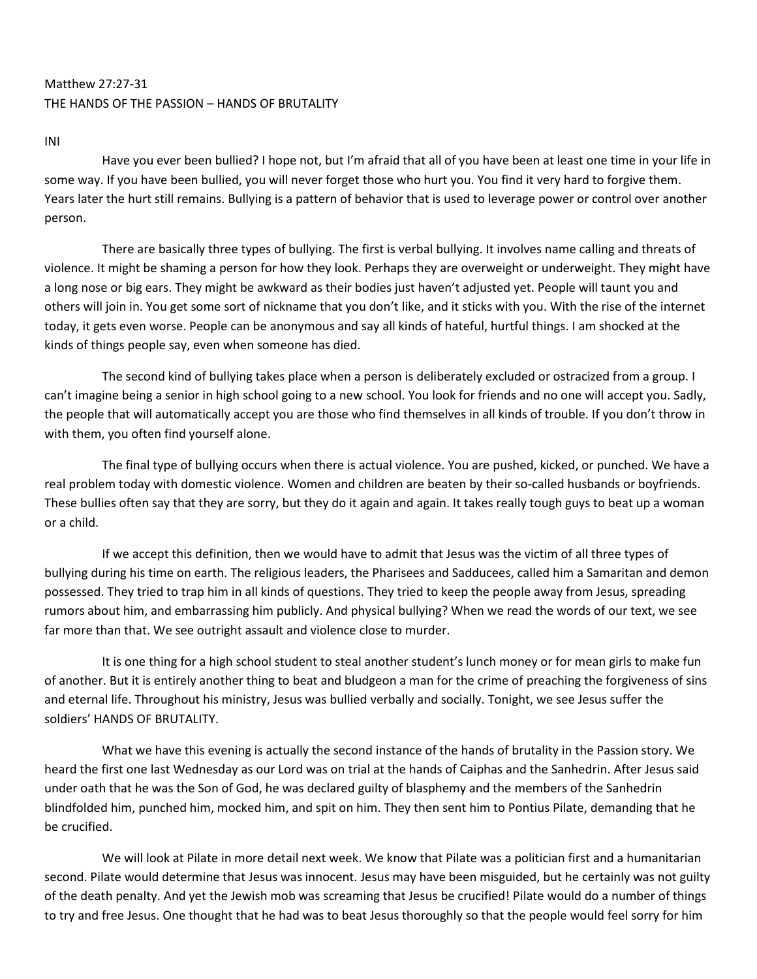# Matthew 27:27-31 THE HANDS OF THE PASSION – HANDS OF BRUTALITY

INI

Have you ever been bullied? I hope not, but I'm afraid that all of you have been at least one time in your life in some way. If you have been bullied, you will never forget those who hurt you. You find it very hard to forgive them. Years later the hurt still remains. Bullying is a pattern of behavior that is used to leverage power or control over another person.

There are basically three types of bullying. The first is verbal bullying. It involves name calling and threats of violence. It might be shaming a person for how they look. Perhaps they are overweight or underweight. They might have a long nose or big ears. They might be awkward as their bodies just haven't adjusted yet. People will taunt you and others will join in. You get some sort of nickname that you don't like, and it sticks with you. With the rise of the internet today, it gets even worse. People can be anonymous and say all kinds of hateful, hurtful things. I am shocked at the kinds of things people say, even when someone has died.

The second kind of bullying takes place when a person is deliberately excluded or ostracized from a group. I can't imagine being a senior in high school going to a new school. You look for friends and no one will accept you. Sadly, the people that will automatically accept you are those who find themselves in all kinds of trouble. If you don't throw in with them, you often find yourself alone.

The final type of bullying occurs when there is actual violence. You are pushed, kicked, or punched. We have a real problem today with domestic violence. Women and children are beaten by their so-called husbands or boyfriends. These bullies often say that they are sorry, but they do it again and again. It takes really tough guys to beat up a woman or a child.

If we accept this definition, then we would have to admit that Jesus was the victim of all three types of bullying during his time on earth. The religious leaders, the Pharisees and Sadducees, called him a Samaritan and demon possessed. They tried to trap him in all kinds of questions. They tried to keep the people away from Jesus, spreading rumors about him, and embarrassing him publicly. And physical bullying? When we read the words of our text, we see far more than that. We see outright assault and violence close to murder.

It is one thing for a high school student to steal another student's lunch money or for mean girls to make fun of another. But it is entirely another thing to beat and bludgeon a man for the crime of preaching the forgiveness of sins and eternal life. Throughout his ministry, Jesus was bullied verbally and socially. Tonight, we see Jesus suffer the soldiers' HANDS OF BRUTALITY.

What we have this evening is actually the second instance of the hands of brutality in the Passion story. We heard the first one last Wednesday as our Lord was on trial at the hands of Caiphas and the Sanhedrin. After Jesus said under oath that he was the Son of God, he was declared guilty of blasphemy and the members of the Sanhedrin blindfolded him, punched him, mocked him, and spit on him. They then sent him to Pontius Pilate, demanding that he be crucified.

We will look at Pilate in more detail next week. We know that Pilate was a politician first and a humanitarian second. Pilate would determine that Jesus was innocent. Jesus may have been misguided, but he certainly was not guilty of the death penalty. And yet the Jewish mob was screaming that Jesus be crucified! Pilate would do a number of things to try and free Jesus. One thought that he had was to beat Jesus thoroughly so that the people would feel sorry for him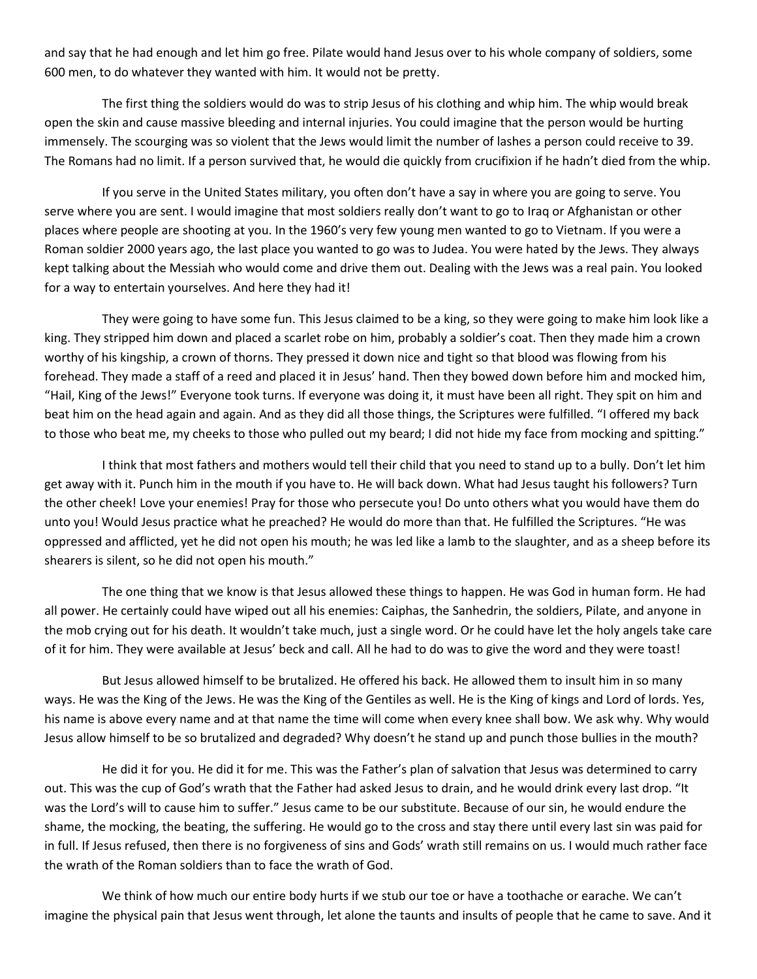and say that he had enough and let him go free. Pilate would hand Jesus over to his whole company of soldiers, some 600 men, to do whatever they wanted with him. It would not be pretty.

The first thing the soldiers would do was to strip Jesus of his clothing and whip him. The whip would break open the skin and cause massive bleeding and internal injuries. You could imagine that the person would be hurting immensely. The scourging was so violent that the Jews would limit the number of lashes a person could receive to 39. The Romans had no limit. If a person survived that, he would die quickly from crucifixion if he hadn't died from the whip.

If you serve in the United States military, you often don't have a say in where you are going to serve. You serve where you are sent. I would imagine that most soldiers really don't want to go to Iraq or Afghanistan or other places where people are shooting at you. In the 1960's very few young men wanted to go to Vietnam. If you were a Roman soldier 2000 years ago, the last place you wanted to go was to Judea. You were hated by the Jews. They always kept talking about the Messiah who would come and drive them out. Dealing with the Jews was a real pain. You looked for a way to entertain yourselves. And here they had it!

They were going to have some fun. This Jesus claimed to be a king, so they were going to make him look like a king. They stripped him down and placed a scarlet robe on him, probably a soldier's coat. Then they made him a crown worthy of his kingship, a crown of thorns. They pressed it down nice and tight so that blood was flowing from his forehead. They made a staff of a reed and placed it in Jesus' hand. Then they bowed down before him and mocked him, "Hail, King of the Jews!" Everyone took turns. If everyone was doing it, it must have been all right. They spit on him and beat him on the head again and again. And as they did all those things, the Scriptures were fulfilled. "I offered my back to those who beat me, my cheeks to those who pulled out my beard; I did not hide my face from mocking and spitting."

I think that most fathers and mothers would tell their child that you need to stand up to a bully. Don't let him get away with it. Punch him in the mouth if you have to. He will back down. What had Jesus taught his followers? Turn the other cheek! Love your enemies! Pray for those who persecute you! Do unto others what you would have them do unto you! Would Jesus practice what he preached? He would do more than that. He fulfilled the Scriptures. "He was oppressed and afflicted, yet he did not open his mouth; he was led like a lamb to the slaughter, and as a sheep before its shearers is silent, so he did not open his mouth."

The one thing that we know is that Jesus allowed these things to happen. He was God in human form. He had all power. He certainly could have wiped out all his enemies: Caiphas, the Sanhedrin, the soldiers, Pilate, and anyone in the mob crying out for his death. It wouldn't take much, just a single word. Or he could have let the holy angels take care of it for him. They were available at Jesus' beck and call. All he had to do was to give the word and they were toast!

But Jesus allowed himself to be brutalized. He offered his back. He allowed them to insult him in so many ways. He was the King of the Jews. He was the King of the Gentiles as well. He is the King of kings and Lord of lords. Yes, his name is above every name and at that name the time will come when every knee shall bow. We ask why. Why would Jesus allow himself to be so brutalized and degraded? Why doesn't he stand up and punch those bullies in the mouth?

He did it for you. He did it for me. This was the Father's plan of salvation that Jesus was determined to carry out. This was the cup of God's wrath that the Father had asked Jesus to drain, and he would drink every last drop. "It was the Lord's will to cause him to suffer." Jesus came to be our substitute. Because of our sin, he would endure the shame, the mocking, the beating, the suffering. He would go to the cross and stay there until every last sin was paid for in full. If Jesus refused, then there is no forgiveness of sins and Gods' wrath still remains on us. I would much rather face the wrath of the Roman soldiers than to face the wrath of God.

We think of how much our entire body hurts if we stub our toe or have a toothache or earache. We can't imagine the physical pain that Jesus went through, let alone the taunts and insults of people that he came to save. And it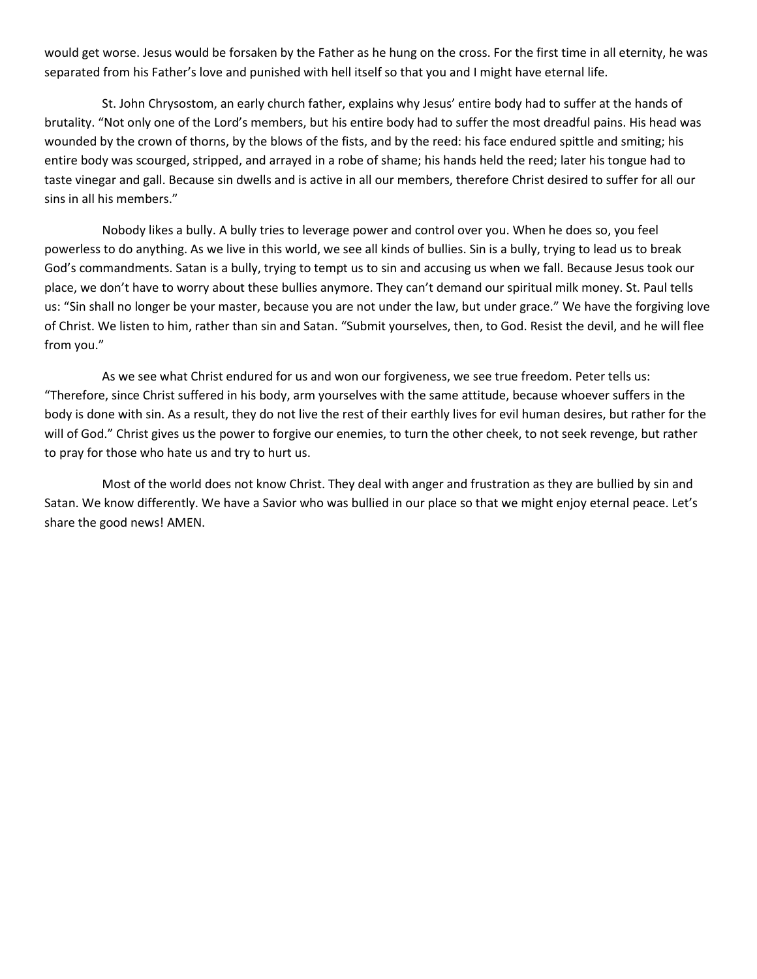would get worse. Jesus would be forsaken by the Father as he hung on the cross. For the first time in all eternity, he was separated from his Father's love and punished with hell itself so that you and I might have eternal life.

St. John Chrysostom, an early church father, explains why Jesus' entire body had to suffer at the hands of brutality. "Not only one of the Lord's members, but his entire body had to suffer the most dreadful pains. His head was wounded by the crown of thorns, by the blows of the fists, and by the reed: his face endured spittle and smiting; his entire body was scourged, stripped, and arrayed in a robe of shame; his hands held the reed; later his tongue had to taste vinegar and gall. Because sin dwells and is active in all our members, therefore Christ desired to suffer for all our sins in all his members."

Nobody likes a bully. A bully tries to leverage power and control over you. When he does so, you feel powerless to do anything. As we live in this world, we see all kinds of bullies. Sin is a bully, trying to lead us to break God's commandments. Satan is a bully, trying to tempt us to sin and accusing us when we fall. Because Jesus took our place, we don't have to worry about these bullies anymore. They can't demand our spiritual milk money. St. Paul tells us: "Sin shall no longer be your master, because you are not under the law, but under grace." We have the forgiving love of Christ. We listen to him, rather than sin and Satan. "Submit yourselves, then, to God. Resist the devil, and he will flee from you."

As we see what Christ endured for us and won our forgiveness, we see true freedom. Peter tells us: "Therefore, since Christ suffered in his body, arm yourselves with the same attitude, because whoever suffers in the body is done with sin. As a result, they do not live the rest of their earthly lives for evil human desires, but rather for the will of God." Christ gives us the power to forgive our enemies, to turn the other cheek, to not seek revenge, but rather to pray for those who hate us and try to hurt us.

Most of the world does not know Christ. They deal with anger and frustration as they are bullied by sin and Satan. We know differently. We have a Savior who was bullied in our place so that we might enjoy eternal peace. Let's share the good news! AMEN.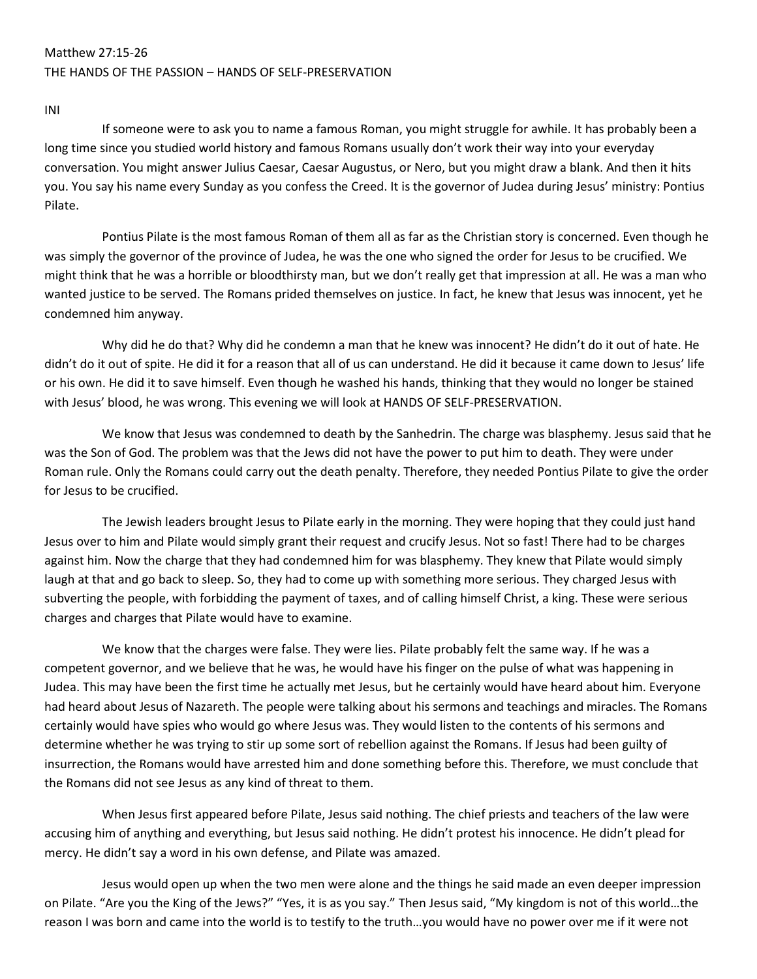## Matthew 27:15-26 THE HANDS OF THE PASSION – HANDS OF SELF-PRESERVATION

INI

If someone were to ask you to name a famous Roman, you might struggle for awhile. It has probably been a long time since you studied world history and famous Romans usually don't work their way into your everyday conversation. You might answer Julius Caesar, Caesar Augustus, or Nero, but you might draw a blank. And then it hits you. You say his name every Sunday as you confess the Creed. It is the governor of Judea during Jesus' ministry: Pontius Pilate.

Pontius Pilate is the most famous Roman of them all as far as the Christian story is concerned. Even though he was simply the governor of the province of Judea, he was the one who signed the order for Jesus to be crucified. We might think that he was a horrible or bloodthirsty man, but we don't really get that impression at all. He was a man who wanted justice to be served. The Romans prided themselves on justice. In fact, he knew that Jesus was innocent, yet he condemned him anyway.

Why did he do that? Why did he condemn a man that he knew was innocent? He didn't do it out of hate. He didn't do it out of spite. He did it for a reason that all of us can understand. He did it because it came down to Jesus' life or his own. He did it to save himself. Even though he washed his hands, thinking that they would no longer be stained with Jesus' blood, he was wrong. This evening we will look at HANDS OF SELF-PRESERVATION.

We know that Jesus was condemned to death by the Sanhedrin. The charge was blasphemy. Jesus said that he was the Son of God. The problem was that the Jews did not have the power to put him to death. They were under Roman rule. Only the Romans could carry out the death penalty. Therefore, they needed Pontius Pilate to give the order for Jesus to be crucified.

The Jewish leaders brought Jesus to Pilate early in the morning. They were hoping that they could just hand Jesus over to him and Pilate would simply grant their request and crucify Jesus. Not so fast! There had to be charges against him. Now the charge that they had condemned him for was blasphemy. They knew that Pilate would simply laugh at that and go back to sleep. So, they had to come up with something more serious. They charged Jesus with subverting the people, with forbidding the payment of taxes, and of calling himself Christ, a king. These were serious charges and charges that Pilate would have to examine.

We know that the charges were false. They were lies. Pilate probably felt the same way. If he was a competent governor, and we believe that he was, he would have his finger on the pulse of what was happening in Judea. This may have been the first time he actually met Jesus, but he certainly would have heard about him. Everyone had heard about Jesus of Nazareth. The people were talking about his sermons and teachings and miracles. The Romans certainly would have spies who would go where Jesus was. They would listen to the contents of his sermons and determine whether he was trying to stir up some sort of rebellion against the Romans. If Jesus had been guilty of insurrection, the Romans would have arrested him and done something before this. Therefore, we must conclude that the Romans did not see Jesus as any kind of threat to them.

When Jesus first appeared before Pilate, Jesus said nothing. The chief priests and teachers of the law were accusing him of anything and everything, but Jesus said nothing. He didn't protest his innocence. He didn't plead for mercy. He didn't say a word in his own defense, and Pilate was amazed.

Jesus would open up when the two men were alone and the things he said made an even deeper impression on Pilate. "Are you the King of the Jews?" "Yes, it is as you say." Then Jesus said, "My kingdom is not of this world…the reason I was born and came into the world is to testify to the truth…you would have no power over me if it were not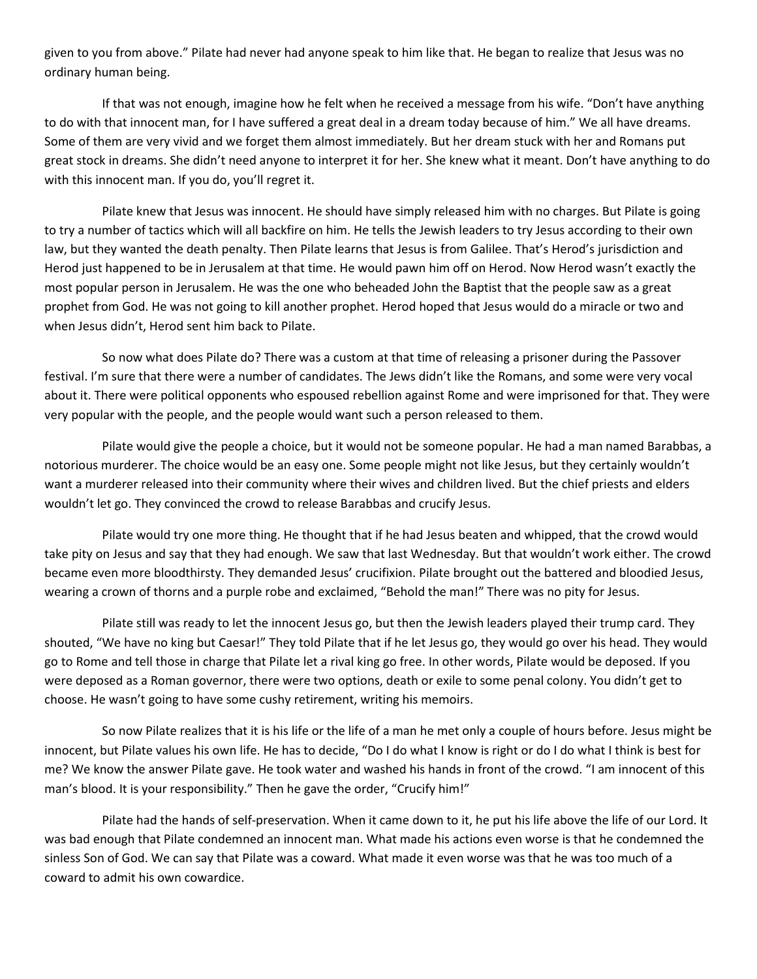given to you from above." Pilate had never had anyone speak to him like that. He began to realize that Jesus was no ordinary human being.

If that was not enough, imagine how he felt when he received a message from his wife. "Don't have anything to do with that innocent man, for I have suffered a great deal in a dream today because of him." We all have dreams. Some of them are very vivid and we forget them almost immediately. But her dream stuck with her and Romans put great stock in dreams. She didn't need anyone to interpret it for her. She knew what it meant. Don't have anything to do with this innocent man. If you do, you'll regret it.

Pilate knew that Jesus was innocent. He should have simply released him with no charges. But Pilate is going to try a number of tactics which will all backfire on him. He tells the Jewish leaders to try Jesus according to their own law, but they wanted the death penalty. Then Pilate learns that Jesus is from Galilee. That's Herod's jurisdiction and Herod just happened to be in Jerusalem at that time. He would pawn him off on Herod. Now Herod wasn't exactly the most popular person in Jerusalem. He was the one who beheaded John the Baptist that the people saw as a great prophet from God. He was not going to kill another prophet. Herod hoped that Jesus would do a miracle or two and when Jesus didn't, Herod sent him back to Pilate.

So now what does Pilate do? There was a custom at that time of releasing a prisoner during the Passover festival. I'm sure that there were a number of candidates. The Jews didn't like the Romans, and some were very vocal about it. There were political opponents who espoused rebellion against Rome and were imprisoned for that. They were very popular with the people, and the people would want such a person released to them.

Pilate would give the people a choice, but it would not be someone popular. He had a man named Barabbas, a notorious murderer. The choice would be an easy one. Some people might not like Jesus, but they certainly wouldn't want a murderer released into their community where their wives and children lived. But the chief priests and elders wouldn't let go. They convinced the crowd to release Barabbas and crucify Jesus.

Pilate would try one more thing. He thought that if he had Jesus beaten and whipped, that the crowd would take pity on Jesus and say that they had enough. We saw that last Wednesday. But that wouldn't work either. The crowd became even more bloodthirsty. They demanded Jesus' crucifixion. Pilate brought out the battered and bloodied Jesus, wearing a crown of thorns and a purple robe and exclaimed, "Behold the man!" There was no pity for Jesus.

Pilate still was ready to let the innocent Jesus go, but then the Jewish leaders played their trump card. They shouted, "We have no king but Caesar!" They told Pilate that if he let Jesus go, they would go over his head. They would go to Rome and tell those in charge that Pilate let a rival king go free. In other words, Pilate would be deposed. If you were deposed as a Roman governor, there were two options, death or exile to some penal colony. You didn't get to choose. He wasn't going to have some cushy retirement, writing his memoirs.

So now Pilate realizes that it is his life or the life of a man he met only a couple of hours before. Jesus might be innocent, but Pilate values his own life. He has to decide, "Do I do what I know is right or do I do what I think is best for me? We know the answer Pilate gave. He took water and washed his hands in front of the crowd. "I am innocent of this man's blood. It is your responsibility." Then he gave the order, "Crucify him!"

Pilate had the hands of self-preservation. When it came down to it, he put his life above the life of our Lord. It was bad enough that Pilate condemned an innocent man. What made his actions even worse is that he condemned the sinless Son of God. We can say that Pilate was a coward. What made it even worse was that he was too much of a coward to admit his own cowardice.